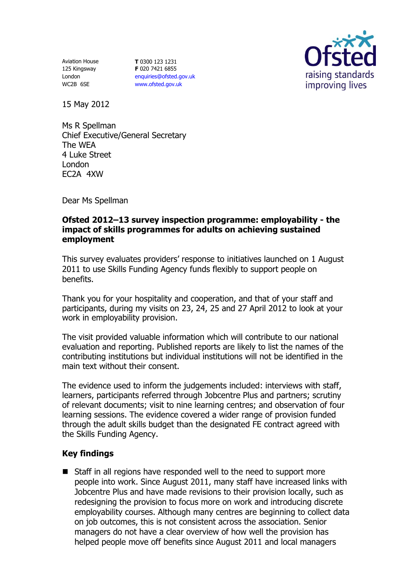Aviation House 125 Kingsway London WC2B 6SE

**T** 0300 123 1231 **F** 020 7421 6855 [enquiries@ofsted.gov.uk](mailto:enquiries@ofsted.gov.uk) [www.ofsted.gov.uk](http://www.ofsted.gov.uk/)



15 May 2012

Ms R Spellman Chief Executive/General Secretary The WEA 4 Luke Street London EC2A 4XW

Dear Ms Spellman

## **Ofsted 2012–13 survey inspection programme: employability - the impact of skills programmes for adults on achieving sustained employment**

This survey evaluates providers' response to initiatives launched on 1 August 2011 to use Skills Funding Agency funds flexibly to support people on benefits.

Thank you for your hospitality and cooperation, and that of your staff and participants, during my visits on 23, 24, 25 and 27 April 2012 to look at your work in employability provision.

The visit provided valuable information which will contribute to our national evaluation and reporting. Published reports are likely to list the names of the contributing institutions but individual institutions will not be identified in the main text without their consent.

The evidence used to inform the judgements included: interviews with staff, learners, participants referred through Jobcentre Plus and partners; scrutiny of relevant documents; visit to nine learning centres; and observation of four learning sessions. The evidence covered a wider range of provision funded through the adult skills budget than the designated FE contract agreed with the Skills Funding Agency.

## **Key findings**

■ Staff in all regions have responded well to the need to support more people into work. Since August 2011, many staff have increased links with Jobcentre Plus and have made revisions to their provision locally, such as redesigning the provision to focus more on work and introducing discrete employability courses. Although many centres are beginning to collect data on job outcomes, this is not consistent across the association. Senior managers do not have a clear overview of how well the provision has helped people move off benefits since August 2011 and local managers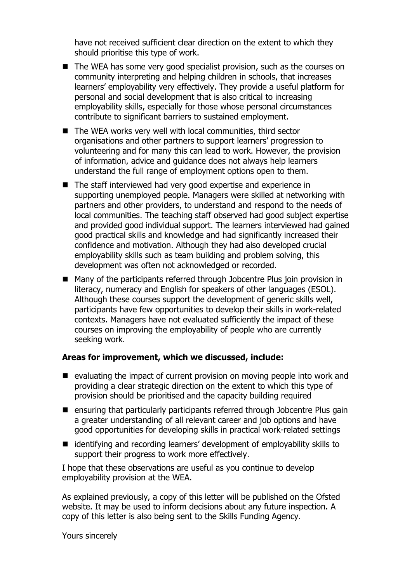have not received sufficient clear direction on the extent to which they should prioritise this type of work.

- The WEA has some very good specialist provision, such as the courses on community interpreting and helping children in schools, that increases learners' employability very effectively. They provide a useful platform for personal and social development that is also critical to increasing employability skills, especially for those whose personal circumstances contribute to significant barriers to sustained employment.
- $\blacksquare$  The WEA works very well with local communities, third sector organisations and other partners to support learners' progression to volunteering and for many this can lead to work. However, the provision of information, advice and guidance does not always help learners understand the full range of employment options open to them.
- The staff interviewed had very good expertise and experience in supporting unemployed people. Managers were skilled at networking with partners and other providers, to understand and respond to the needs of local communities. The teaching staff observed had good subject expertise and provided good individual support. The learners interviewed had gained good practical skills and knowledge and had significantly increased their confidence and motivation. Although they had also developed crucial employability skills such as team building and problem solving, this development was often not acknowledged or recorded.
- Many of the participants referred through Jobcentre Plus join provision in literacy, numeracy and English for speakers of other languages (ESOL). Although these courses support the development of generic skills well, participants have few opportunities to develop their skills in work-related contexts. Managers have not evaluated sufficiently the impact of these courses on improving the employability of people who are currently seeking work.

## **Areas for improvement, which we discussed, include:**

- evaluating the impact of current provision on moving people into work and providing a clear strategic direction on the extent to which this type of provision should be prioritised and the capacity building required
- ensuring that particularly participants referred through Jobcentre Plus gain a greater understanding of all relevant career and job options and have good opportunities for developing skills in practical work-related settings
- identifying and recording learners' development of employability skills to support their progress to work more effectively.

I hope that these observations are useful as you continue to develop employability provision at the WEA.

As explained previously, a copy of this letter will be published on the Ofsted website. It may be used to inform decisions about any future inspection. A copy of this letter is also being sent to the Skills Funding Agency.

Yours sincerely